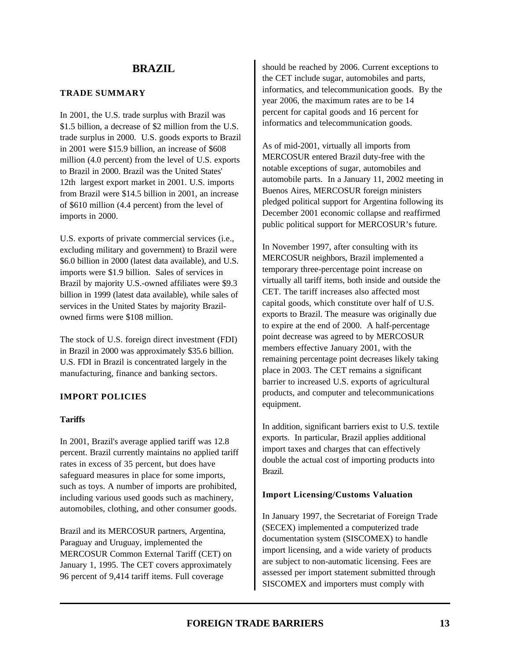### **TRADE SUMMARY**

In 2001, the U.S. trade surplus with Brazil was \$1.5 billion, a decrease of \$2 million from the U.S. trade surplus in 2000. U.S. goods exports to Brazil in 2001 were \$15.9 billion, an increase of \$608 million (4.0 percent) from the level of U.S. exports to Brazil in 2000. Brazil was the United States' 12th largest export market in 2001. U.S. imports from Brazil were \$14.5 billion in 2001, an increase of \$610 million (4.4 percent) from the level of imports in 2000.

U.S. exports of private commercial services (i.e., excluding military and government) to Brazil were \$6.0 billion in 2000 (latest data available), and U.S. imports were \$1.9 billion. Sales of services in Brazil by majority U.S.-owned affiliates were \$9.3 billion in 1999 (latest data available), while sales of services in the United States by majority Brazilowned firms were \$108 million.

The stock of U.S. foreign direct investment (FDI) in Brazil in 2000 was approximately \$35.6 billion. U.S. FDI in Brazil is concentrated largely in the manufacturing, finance and banking sectors.

### **IMPORT POLICIES**

#### **Tariffs**

In 2001, Brazil's average applied tariff was 12.8 percent. Brazil currently maintains no applied tariff rates in excess of 35 percent, but does have safeguard measures in place for some imports, such as toys. A number of imports are prohibited, including various used goods such as machinery, automobiles, clothing, and other consumer goods.

Brazil and its MERCOSUR partners, Argentina, Paraguay and Uruguay, implemented the MERCOSUR Common External Tariff (CET) on January 1, 1995. The CET covers approximately 96 percent of 9,414 tariff items. Full coverage

should be reached by 2006. Current exceptions to the CET include sugar, automobiles and parts, informatics, and telecommunication goods. By the year 2006, the maximum rates are to be 14 percent for capital goods and 16 percent for informatics and telecommunication goods.

As of mid-2001, virtually all imports from MERCOSUR entered Brazil duty-free with the notable exceptions of sugar, automobiles and automobile parts. In a January 11, 2002 meeting in Buenos Aires, MERCOSUR foreign ministers pledged political support for Argentina following its December 2001 economic collapse and reaffirmed public political support for MERCOSUR's future.

In November 1997, after consulting with its MERCOSUR neighbors, Brazil implemented a temporary three-percentage point increase on virtually all tariff items, both inside and outside the CET. The tariff increases also affected most capital goods, which constitute over half of U.S. exports to Brazil. The measure was originally due to expire at the end of 2000. A half-percentage point decrease was agreed to by MERCOSUR members effective January 2001, with the remaining percentage point decreases likely taking place in 2003. The CET remains a significant barrier to increased U.S. exports of agricultural products, and computer and telecommunications equipment.

In addition, significant barriers exist to U.S. textile exports. In particular, Brazil applies additional import taxes and charges that can effectively double the actual cost of importing products into Brazil.

#### **Import Licensing/Customs Valuation**

In January 1997, the Secretariat of Foreign Trade (SECEX) implemented a computerized trade documentation system (SISCOMEX) to handle import licensing, and a wide variety of products are subject to non-automatic licensing. Fees are assessed per import statement submitted through SISCOMEX and importers must comply with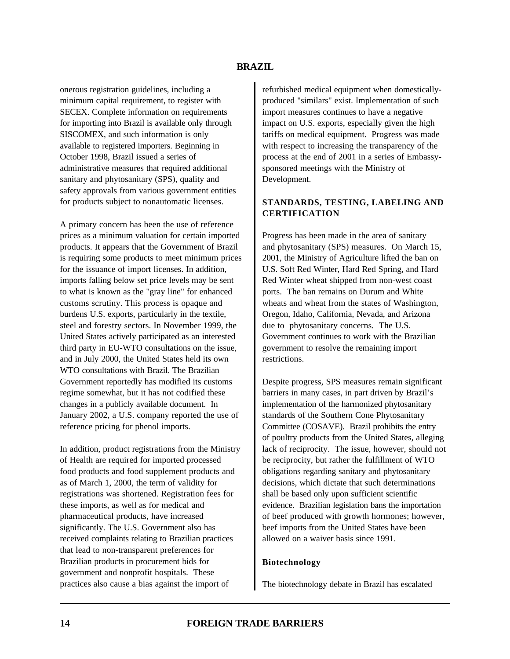onerous registration guidelines, including a minimum capital requirement, to register with SECEX. Complete information on requirements for importing into Brazil is available only through SISCOMEX, and such information is only available to registered importers. Beginning in October 1998, Brazil issued a series of administrative measures that required additional sanitary and phytosanitary (SPS), quality and safety approvals from various government entities for products subject to nonautomatic licenses.

A primary concern has been the use of reference prices as a minimum valuation for certain imported products. It appears that the Government of Brazil is requiring some products to meet minimum prices for the issuance of import licenses. In addition, imports falling below set price levels may be sent to what is known as the "gray line" for enhanced customs scrutiny. This process is opaque and burdens U.S. exports, particularly in the textile, steel and forestry sectors. In November 1999, the United States actively participated as an interested third party in EU-WTO consultations on the issue, and in July 2000, the United States held its own WTO consultations with Brazil. The Brazilian Government reportedly has modified its customs regime somewhat, but it has not codified these changes in a publicly available document. In January 2002, a U.S. company reported the use of reference pricing for phenol imports.

In addition, product registrations from the Ministry of Health are required for imported processed food products and food supplement products and as of March 1, 2000, the term of validity for registrations was shortened. Registration fees for these imports, as well as for medical and pharmaceutical products, have increased significantly. The U.S. Government also has received complaints relating to Brazilian practices that lead to non-transparent preferences for Brazilian products in procurement bids for government and nonprofit hospitals. These practices also cause a bias against the import of

refurbished medical equipment when domesticallyproduced "similars" exist. Implementation of such import measures continues to have a negative impact on U.S. exports, especially given the high tariffs on medical equipment. Progress was made with respect to increasing the transparency of the process at the end of 2001 in a series of Embassysponsored meetings with the Ministry of Development.

# **STANDARDS, TESTING, LABELING AND CERTIFICATION**

Progress has been made in the area of sanitary and phytosanitary (SPS) measures. On March 15, 2001, the Ministry of Agriculture lifted the ban on U.S. Soft Red Winter, Hard Red Spring, and Hard Red Winter wheat shipped from non-west coast ports. The ban remains on Durum and White wheats and wheat from the states of Washington, Oregon, Idaho, California, Nevada, and Arizona due to phytosanitary concerns. The U.S. Government continues to work with the Brazilian government to resolve the remaining import restrictions.

Despite progress, SPS measures remain significant barriers in many cases, in part driven by Brazil's implementation of the harmonized phytosanitary standards of the Southern Cone Phytosanitary Committee (COSAVE). Brazil prohibits the entry of poultry products from the United States, alleging lack of reciprocity. The issue, however, should not be reciprocity, but rather the fulfillment of WTO obligations regarding sanitary and phytosanitary decisions, which dictate that such determinations shall be based only upon sufficient scientific evidence. Brazilian legislation bans the importation of beef produced with growth hormones; however, beef imports from the United States have been allowed on a waiver basis since 1991.

### **Biotechnology**

The biotechnology debate in Brazil has escalated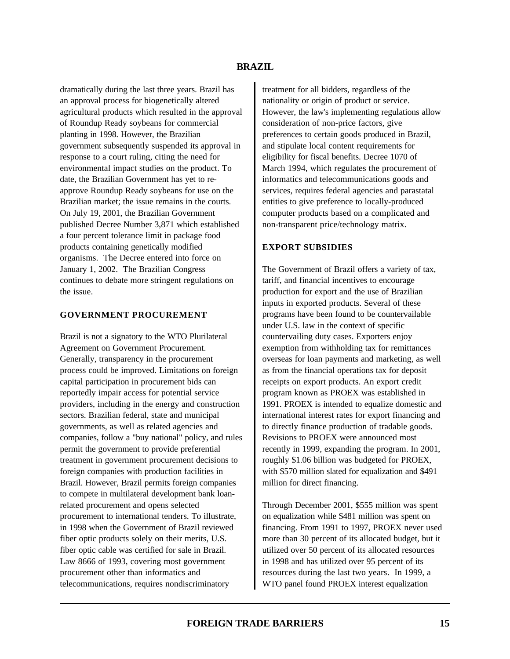dramatically during the last three years. Brazil has an approval process for biogenetically altered agricultural products which resulted in the approval of Roundup Ready soybeans for commercial planting in 1998. However, the Brazilian government subsequently suspended its approval in response to a court ruling, citing the need for environmental impact studies on the product. To date, the Brazilian Government has yet to reapprove Roundup Ready soybeans for use on the Brazilian market; the issue remains in the courts. On July 19, 2001, the Brazilian Government published Decree Number 3,871 which established a four percent tolerance limit in package food products containing genetically modified organisms. The Decree entered into force on January 1, 2002. The Brazilian Congress continues to debate more stringent regulations on the issue.

### **GOVERNMENT PROCUREMENT**

Brazil is not a signatory to the WTO Plurilateral Agreement on Government Procurement. Generally, transparency in the procurement process could be improved. Limitations on foreign capital participation in procurement bids can reportedly impair access for potential service providers, including in the energy and construction sectors. Brazilian federal, state and municipal governments, as well as related agencies and companies, follow a "buy national" policy, and rules permit the government to provide preferential treatment in government procurement decisions to foreign companies with production facilities in Brazil. However, Brazil permits foreign companies to compete in multilateral development bank loanrelated procurement and opens selected procurement to international tenders. To illustrate, in 1998 when the Government of Brazil reviewed fiber optic products solely on their merits, U.S. fiber optic cable was certified for sale in Brazil. Law 8666 of 1993, covering most government procurement other than informatics and telecommunications, requires nondiscriminatory

treatment for all bidders, regardless of the nationality or origin of product or service. However, the law's implementing regulations allow consideration of non-price factors, give preferences to certain goods produced in Brazil, and stipulate local content requirements for eligibility for fiscal benefits. Decree 1070 of March 1994, which regulates the procurement of informatics and telecommunications goods and services, requires federal agencies and parastatal entities to give preference to locally-produced computer products based on a complicated and non-transparent price/technology matrix.

# **EXPORT SUBSIDIES**

The Government of Brazil offers a variety of tax, tariff, and financial incentives to encourage production for export and the use of Brazilian inputs in exported products. Several of these programs have been found to be countervailable under U.S. law in the context of specific countervailing duty cases. Exporters enjoy exemption from withholding tax for remittances overseas for loan payments and marketing, as well as from the financial operations tax for deposit receipts on export products. An export credit program known as PROEX was established in 1991. PROEX is intended to equalize domestic and international interest rates for export financing and to directly finance production of tradable goods. Revisions to PROEX were announced most recently in 1999, expanding the program. In 2001, roughly \$1.06 billion was budgeted for PROEX, with \$570 million slated for equalization and \$491 million for direct financing.

Through December 2001, \$555 million was spent on equalization while \$481 million was spent on financing. From 1991 to 1997, PROEX never used more than 30 percent of its allocated budget, but it utilized over 50 percent of its allocated resources in 1998 and has utilized over 95 percent of its resources during the last two years. In 1999, a WTO panel found PROEX interest equalization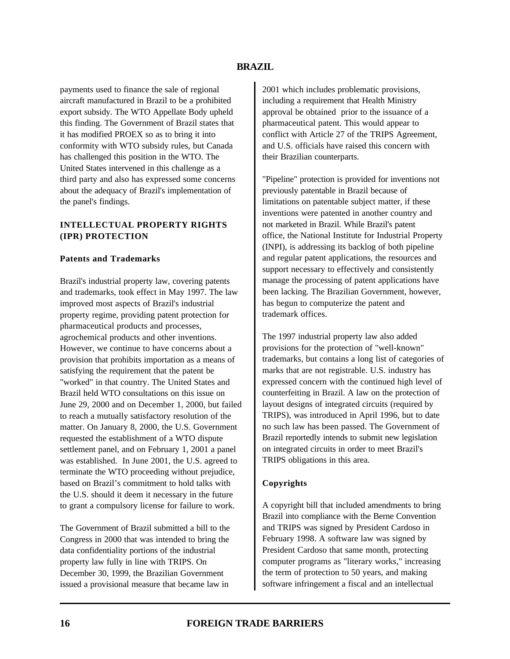payments used to finance the sale of regional aircraft manufactured in Brazil to be a prohibited export subsidy. The WTO Appellate Body upheld this finding. The Government of Brazil states that it has modified PROEX so as to bring it into conformity with WTO subsidy rules, but Canada has challenged this position in the WTO. The United States intervened in this challenge as a third party and also has expressed some concerns about the adequacy of Brazil's implementation of the panel's findings.

# **INTELLECTUAL PROPERTY RIGHTS (IPR) PROTECTION**

### **Patents and Trademarks**

Brazil's industrial property law, covering patents and trademarks, took effect in May 1997. The law improved most aspects of Brazil's industrial property regime, providing patent protection for pharmaceutical products and processes, agrochemical products and other inventions. However, we continue to have concerns about a provision that prohibits importation as a means of satisfying the requirement that the patent be "worked" in that country. The United States and Brazil held WTO consultations on this issue on June 29, 2000 and on December 1, 2000, but failed to reach a mutually satisfactory resolution of the matter. On January 8, 2000, the U.S. Government requested the establishment of a WTO dispute settlement panel, and on February 1, 2001 a panel was established. In June 2001, the U.S. agreed to terminate the WTO proceeding without prejudice, based on Brazil's commitment to hold talks with the U.S. should it deem it necessary in the future to grant a compulsory license for failure to work.

The Government of Brazil submitted a bill to the Congress in 2000 that was intended to bring the data confidentiality portions of the industrial property law fully in line with TRIPS. On December 30, 1999, the Brazilian Government issued a provisional measure that became law in

2001 which includes problematic provisions, including a requirement that Health Ministry approval be obtained prior to the issuance of a pharmaceutical patent. This would appear to conflict with Article 27 of the TRIPS Agreement, and U.S. officials have raised this concern with their Brazilian counterparts.

"Pipeline" protection is provided for inventions not previously patentable in Brazil because of limitations on patentable subject matter, if these inventions were patented in another country and not marketed in Brazil. While Brazil's patent office, the National Institute for Industrial Property (INPI), is addressing its backlog of both pipeline and regular patent applications, the resources and support necessary to effectively and consistently manage the processing of patent applications have been lacking. The Brazilian Government, however, has begun to computerize the patent and trademark offices.

The 1997 industrial property law also added provisions for the protection of "well-known" trademarks, but contains a long list of categories of marks that are not registrable. U.S. industry has expressed concern with the continued high level of counterfeiting in Brazil. A law on the protection of layout designs of integrated circuits (required by TRIPS), was introduced in April 1996, but to date no such law has been passed. The Government of Brazil reportedly intends to submit new legislation on integrated circuits in order to meet Brazil's TRIPS obligations in this area.

### **Copyrights**

A copyright bill that included amendments to bring Brazil into compliance with the Berne Convention and TRIPS was signed by President Cardoso in February 1998. A software law was signed by President Cardoso that same month, protecting computer programs as "literary works," increasing the term of protection to 50 years, and making software infringement a fiscal and an intellectual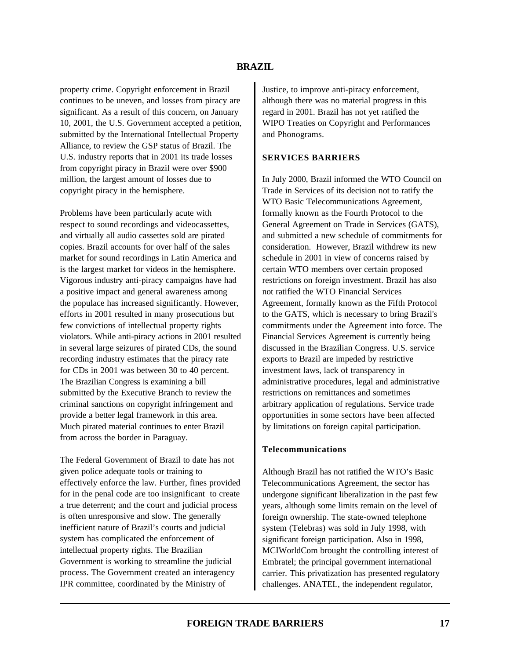property crime. Copyright enforcement in Brazil continues to be uneven, and losses from piracy are significant. As a result of this concern, on January 10, 2001, the U.S. Government accepted a petition, submitted by the International Intellectual Property Alliance, to review the GSP status of Brazil. The U.S. industry reports that in 2001 its trade losses from copyright piracy in Brazil were over \$900 million, the largest amount of losses due to copyright piracy in the hemisphere.

Problems have been particularly acute with respect to sound recordings and videocassettes, and virtually all audio cassettes sold are pirated copies. Brazil accounts for over half of the sales market for sound recordings in Latin America and is the largest market for videos in the hemisphere. Vigorous industry anti-piracy campaigns have had a positive impact and general awareness among the populace has increased significantly. However, efforts in 2001 resulted in many prosecutions but few convictions of intellectual property rights violators. While anti-piracy actions in 2001 resulted in several large seizures of pirated CDs, the sound recording industry estimates that the piracy rate for CDs in 2001 was between 30 to 40 percent. The Brazilian Congress is examining a bill submitted by the Executive Branch to review the criminal sanctions on copyright infringement and provide a better legal framework in this area. Much pirated material continues to enter Brazil from across the border in Paraguay.

The Federal Government of Brazil to date has not given police adequate tools or training to effectively enforce the law. Further, fines provided for in the penal code are too insignificant to create a true deterrent; and the court and judicial process is often unresponsive and slow. The generally inefficient nature of Brazil's courts and judicial system has complicated the enforcement of intellectual property rights. The Brazilian Government is working to streamline the judicial process. The Government created an interagency IPR committee, coordinated by the Ministry of

Justice, to improve anti-piracy enforcement, although there was no material progress in this regard in 2001. Brazil has not yet ratified the WIPO Treaties on Copyright and Performances and Phonograms.

# **SERVICES BARRIERS**

In July 2000, Brazil informed the WTO Council on Trade in Services of its decision not to ratify the WTO Basic Telecommunications Agreement, formally known as the Fourth Protocol to the General Agreement on Trade in Services (GATS), and submitted a new schedule of commitments for consideration. However, Brazil withdrew its new schedule in 2001 in view of concerns raised by certain WTO members over certain proposed restrictions on foreign investment. Brazil has also not ratified the WTO Financial Services Agreement, formally known as the Fifth Protocol to the GATS, which is necessary to bring Brazil's commitments under the Agreement into force. The Financial Services Agreement is currently being discussed in the Brazilian Congress. U.S. service exports to Brazil are impeded by restrictive investment laws, lack of transparency in administrative procedures, legal and administrative restrictions on remittances and sometimes arbitrary application of regulations. Service trade opportunities in some sectors have been affected by limitations on foreign capital participation.

### **Telecommunications**

Although Brazil has not ratified the WTO's Basic Telecommunications Agreement, the sector has undergone significant liberalization in the past few years, although some limits remain on the level of foreign ownership. The state-owned telephone system (Telebras) was sold in July 1998, with significant foreign participation. Also in 1998, MCIWorldCom brought the controlling interest of Embratel; the principal government international carrier. This privatization has presented regulatory challenges. ANATEL, the independent regulator,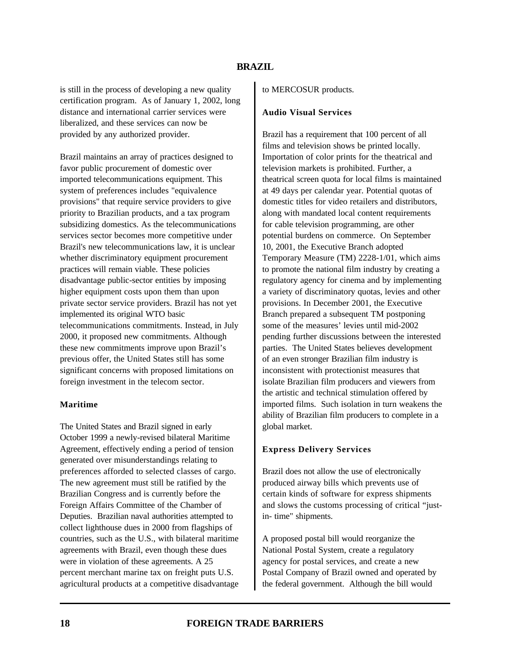is still in the process of developing a new quality certification program. As of January 1, 2002, long distance and international carrier services were liberalized, and these services can now be provided by any authorized provider.

Brazil maintains an array of practices designed to favor public procurement of domestic over imported telecommunications equipment. This system of preferences includes "equivalence provisions" that require service providers to give priority to Brazilian products, and a tax program subsidizing domestics. As the telecommunications services sector becomes more competitive under Brazil's new telecommunications law, it is unclear whether discriminatory equipment procurement practices will remain viable. These policies disadvantage public-sector entities by imposing higher equipment costs upon them than upon private sector service providers. Brazil has not yet implemented its original WTO basic telecommunications commitments. Instead, in July 2000, it proposed new commitments. Although these new commitments improve upon Brazil's previous offer, the United States still has some significant concerns with proposed limitations on foreign investment in the telecom sector.

#### **Maritime**

The United States and Brazil signed in early October 1999 a newly-revised bilateral Maritime Agreement, effectively ending a period of tension generated over misunderstandings relating to preferences afforded to selected classes of cargo. The new agreement must still be ratified by the Brazilian Congress and is currently before the Foreign Affairs Committee of the Chamber of Deputies. Brazilian naval authorities attempted to collect lighthouse dues in 2000 from flagships of countries, such as the U.S., with bilateral maritime agreements with Brazil, even though these dues were in violation of these agreements. A 25 percent merchant marine tax on freight puts U.S. agricultural products at a competitive disadvantage to MERCOSUR products.

#### **Audio Visual Services**

Brazil has a requirement that 100 percent of all films and television shows be printed locally. Importation of color prints for the theatrical and television markets is prohibited. Further, a theatrical screen quota for local films is maintained at 49 days per calendar year. Potential quotas of domestic titles for video retailers and distributors, along with mandated local content requirements for cable television programming, are other potential burdens on commerce. On September 10, 2001, the Executive Branch adopted Temporary Measure (TM) 2228-1/01, which aims to promote the national film industry by creating a regulatory agency for cinema and by implementing a variety of discriminatory quotas, levies and other provisions. In December 2001, the Executive Branch prepared a subsequent TM postponing some of the measures' levies until mid-2002 pending further discussions between the interested parties. The United States believes development of an even stronger Brazilian film industry is inconsistent with protectionist measures that isolate Brazilian film producers and viewers from the artistic and technical stimulation offered by imported films. Such isolation in turn weakens the ability of Brazilian film producers to complete in a global market.

#### **Express Delivery Services**

Brazil does not allow the use of electronically produced airway bills which prevents use of certain kinds of software for express shipments and slows the customs processing of critical "justin- time" shipments.

A proposed postal bill would reorganize the National Postal System, create a regulatory agency for postal services, and create a new Postal Company of Brazil owned and operated by the federal government. Although the bill would